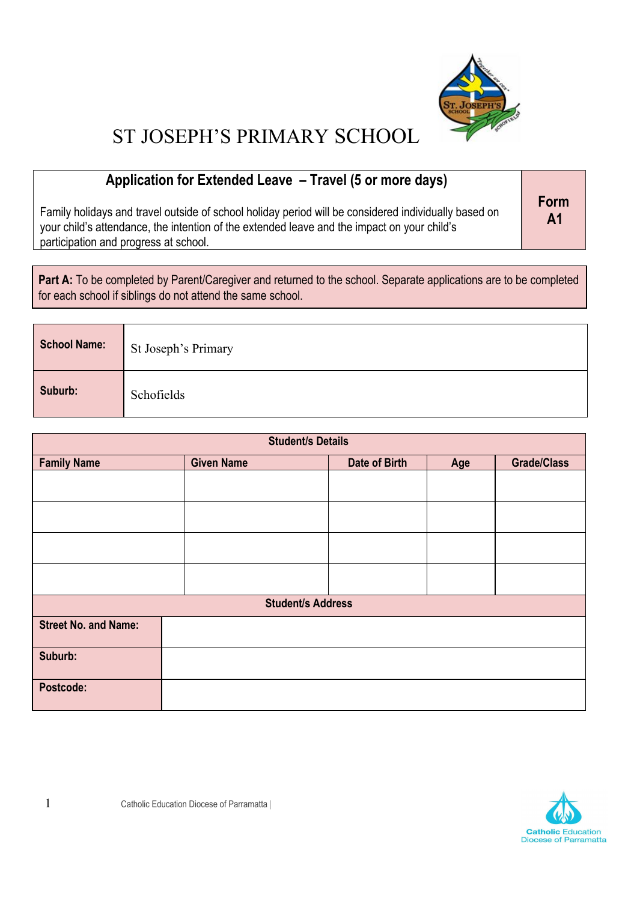

#### **Application for Extended Leave – Travel (5 or more days)**

Family holidays and travel outside of school holiday period will be considered individually based on your child's attendance, the intention of the extended leave and the impact on your child's participation and progress at school.

**Form A1**

Part A: To be completed by Parent/Caregiver and returned to the school. Separate applications are to be completed for each school if siblings do not attend the same school.

| <b>School Name:</b> | St Joseph's Primary |
|---------------------|---------------------|
| Suburb:             | Schofields          |

| <b>Student/s Details</b>    |                   |               |     |                    |
|-----------------------------|-------------------|---------------|-----|--------------------|
| <b>Family Name</b>          | <b>Given Name</b> | Date of Birth | Age | <b>Grade/Class</b> |
|                             |                   |               |     |                    |
|                             |                   |               |     |                    |
|                             |                   |               |     |                    |
|                             |                   |               |     |                    |
| <b>Student/s Address</b>    |                   |               |     |                    |
| <b>Street No. and Name:</b> |                   |               |     |                    |
| Suburb:                     |                   |               |     |                    |
| Postcode:                   |                   |               |     |                    |

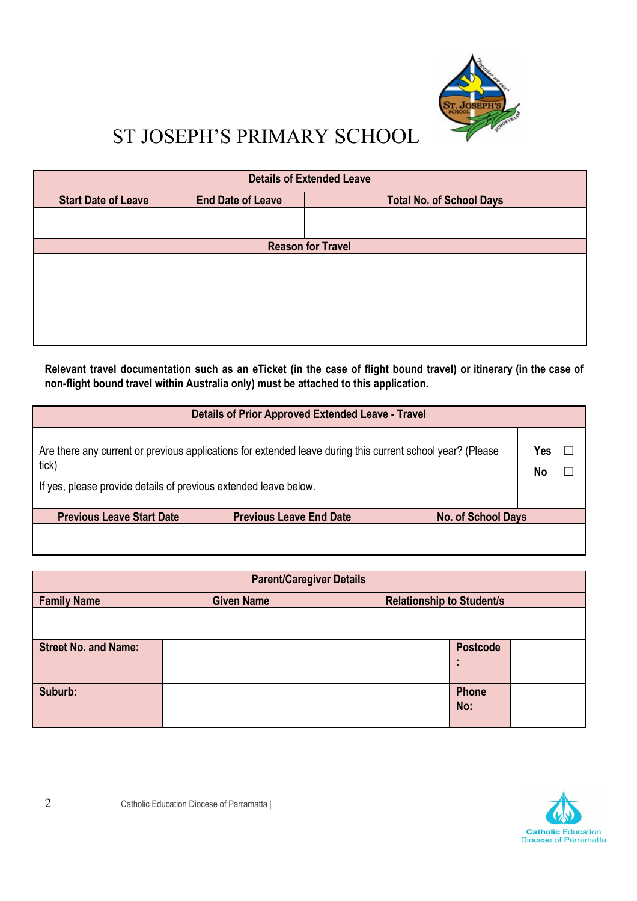

| <b>Details of Extended Leave</b> |                          |                                 |  |
|----------------------------------|--------------------------|---------------------------------|--|
| <b>Start Date of Leave</b>       | <b>End Date of Leave</b> | <b>Total No. of School Days</b> |  |
|                                  |                          |                                 |  |
|                                  |                          |                                 |  |
|                                  |                          | <b>Reason for Travel</b>        |  |
|                                  |                          |                                 |  |
|                                  |                          |                                 |  |
|                                  |                          |                                 |  |
|                                  |                          |                                 |  |
|                                  |                          |                                 |  |
|                                  |                          |                                 |  |
|                                  |                          |                                 |  |

Relevant travel documentation such as an eTicket (in the case of flight bound travel) or itinerary (in the case of **non-flight bound travel within Australia only) must be attached to this application.**

| <b>Details of Prior Approved Extended Leave - Travel</b>                                                                                                                                |                                |                    |  |
|-----------------------------------------------------------------------------------------------------------------------------------------------------------------------------------------|--------------------------------|--------------------|--|
| Are there any current or previous applications for extended leave during this current school year? (Please<br>tick)<br>If yes, please provide details of previous extended leave below. |                                |                    |  |
| <b>Previous Leave Start Date</b>                                                                                                                                                        | <b>Previous Leave End Date</b> | No. of School Days |  |
|                                                                                                                                                                                         |                                |                    |  |

| <b>Parent/Caregiver Details</b> |  |                   |  |                                  |                 |  |
|---------------------------------|--|-------------------|--|----------------------------------|-----------------|--|
| <b>Family Name</b>              |  | <b>Given Name</b> |  | <b>Relationship to Student/s</b> |                 |  |
|                                 |  |                   |  |                                  |                 |  |
| <b>Street No. and Name:</b>     |  |                   |  |                                  | <b>Postcode</b> |  |
|                                 |  |                   |  |                                  | ×               |  |
| Suburb:                         |  |                   |  |                                  | Phone<br>No:    |  |

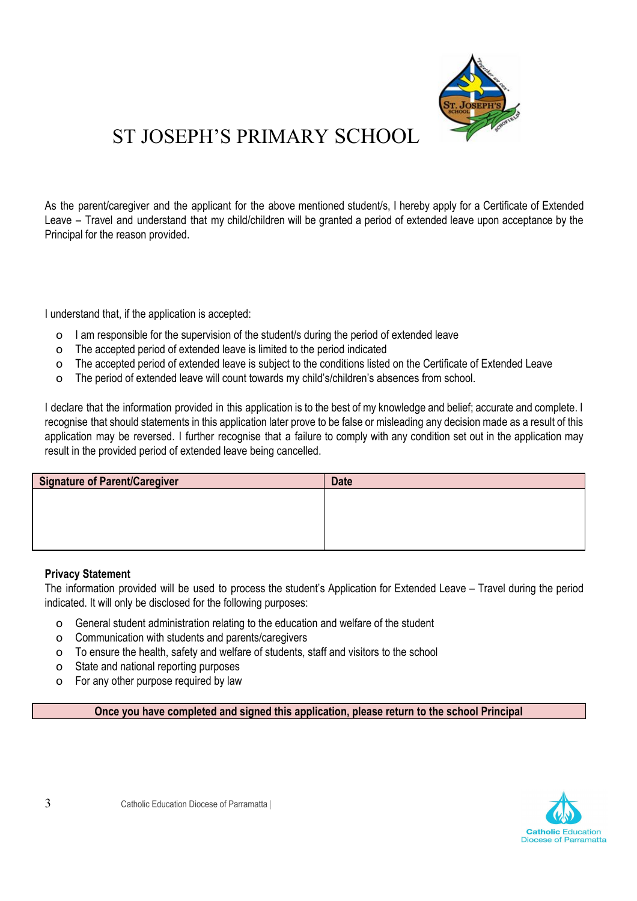

As the parent/caregiver and the applicant for the above mentioned student/s, I hereby apply for a Certificate of Extended Leave – Travel and understand that my child/children will be granted a period of extended leave upon acceptance by the Principal for the reason provided.

I understand that, if the application is accepted:

- o I am responsible for the supervision of the student/s during the period of extended leave
- o The accepted period of extended leave is limited to the period indicated
- o The accepted period of extended leave is subject to the conditions listed on the Certificate of Extended Leave
- o The period of extended leave will count towards my child's/children's absences from school.

I declare that the information provided in this application is to the best of my knowledge and belief; accurate and complete. I recognise that should statements in this application later prove to be false or misleading any decision made as a result of this application may be reversed. I further recognise that a failure to comply with any condition set out in the application may result in the provided period of extended leave being cancelled.

| Signature of Parent/Caregiver | <b>Date</b> |
|-------------------------------|-------------|
|                               |             |
|                               |             |
|                               |             |
|                               |             |

#### **Privacy Statement**

The information provided will be used to process the student's Application for Extended Leave – Travel during the period indicated. It will only be disclosed for the following purposes:

- o General student administration relating to the education and welfare of the student
- o Communication with students and parents/caregivers
- o To ensure the health, safety and welfare of students, staff and visitors to the school
- o State and national reporting purposes
- o For any other purpose required by law

**Once you have completed and signed this application, please return to the school Principal**